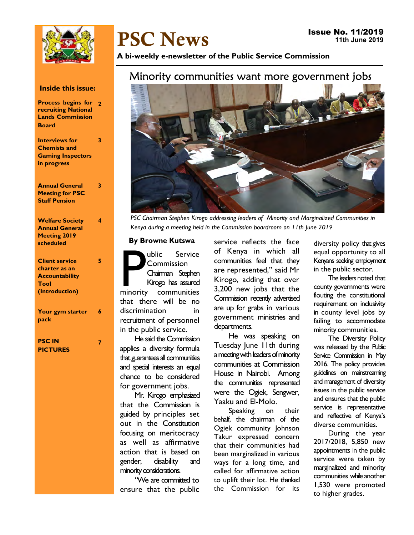

# PSC News

A bi-weekly e-newsletter of the Public Service Commission

# Minority communities want more government jobs



PSC Chairman Stephen Kirogo addressing leaders of Minority and Marginalized Communities in Kenya during a meeting held in the Commission boardroom on 11th June 2019

#### By Browne Kutswa

Public Service<br>
Commission<br>
Chairman Stephen<br>
Kirogo has assured<br>
minority communities ublic Service Commission Chairman Stephen Kirogo has assured that there will be no discrimination in recruitment of personnel in the public service.

He said the Commission applies a diversity formula that guarantees all communities and special interests an equal chance to be considered for government jobs.

Mr. Kirogo emphasized that the Commission is guided by principles set out in the Constitution focusing on meritocracy as well as affirmative action that is based on gender, disability and minority considerations.

"We are committed to ensure that the public

service reflects the face of Kenya in which all communities feel that they are represented," said Mr Kirogo, adding that over 3,200 new jobs that the Commission recently advertised are up for grabs in various government ministries and departments.

He was speaking on Tuesday June 11th during a meeting with leaders of minority communities at Commission House in Nairobi. Among the communities represented were the Ogiek, Sengwer, Yaaku and El-Molo.

Speaking on their behalf, the chairman of the Ogiek community Johnson Takur expressed concern that their communities had been marginalized in various ways for a long time, and called for affirmative action to uplift their lot. He thanked the Commission for its

diversity policy that gives equal opportunity to all Kenyans seeking employment in the public sector.

The leaders noted that county governments were flouting the constitutional requirement on inclusivity in county level jobs by failing to accommodate minority communities.

The Diversity Policy was released by the Public Service Commission in May 2016. The policy provides guidelines on mainstreaming and management of diversity issues in the public service and ensures that the public service is representative and reflective of Kenya's diverse communities.

During the year 2017/2018, 5,850 new appointments in the public service were taken by marginalized and minority communities while another 1,530 were promoted to higher grades.

## Inside this issue:

| <b>Process begins for 2</b> |  |
|-----------------------------|--|
| <b>recruiting National</b>  |  |
| <b>Lands Commission</b>     |  |
| <b>Board</b>                |  |
|                             |  |

 $\overline{2}$ 

4

3

5

7

Interviews for Chemists and Gaming Inspectors in progress

Annual General Meeting for PSC Staff Pension

| <b>Welfare Society</b> |  |
|------------------------|--|
| <b>Annual General</b>  |  |
| Meeting 2019           |  |
| scheduled              |  |
|                        |  |
|                        |  |

## Client service charter as an **Accountability** Tool (Introduction)

Your gym starter pack 6

## PSC IN PICTURES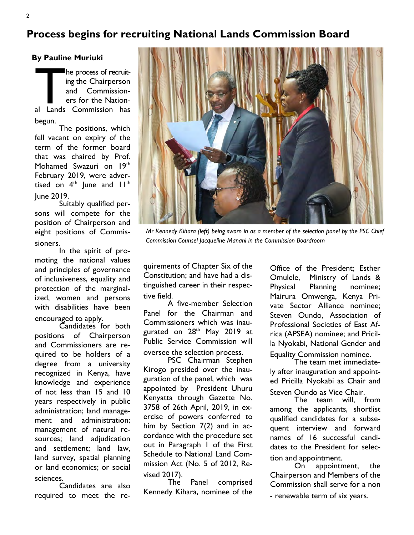# Process begins for recruiting National Lands Commission Board

By Pauline Muriuki

The process of recruit-<br>
ing the Chairperson<br>
and Commission-<br>
ers for the Nation-<br>
al Lands Commission has he process of recruiting the Chairperson and Commissioners for the Nationbegun.

The positions, which fell vacant on expiry of the term of the former board that was chaired by Prof. Mohamed Swazuri on 19th February 2019, were advertised on  $4<sup>th</sup>$  lune and  $11<sup>th</sup>$ June 2019.

Suitably qualified persons will compete for the position of Chairperson and eight positions of Commissioners.

In the spirit of promoting the national values and principles of governance of inclusiveness, equality and protection of the marginalized, women and persons with disabilities have been encouraged to apply.

Candidates for both positions of Chairperson and Commissioners are required to be holders of a degree from a university recognized in Kenya, have knowledge and experience of not less than 15 and 10 years respectively in public administration; land management and administration; management of natural resources; land adjudication and settlement; land law, land survey, spatial planning or land economics; or social sciences.

Candidates are also required to meet the re-



Mr Kennedy Kihara (left) being sworn in as a member of the selection panel by the PSC Chief Commission Counsel Jacqueline Manani in the Commission Boardroom

quirements of Chapter Six of the Constitution; and have had a distinguished career in their respective field.

A five-member Selection Panel for the Chairman and Commissioners which was inaugurated on 28<sup>th</sup> May 2019 at Public Service Commission will oversee the selection process.

PSC Chairman Stephen Kirogo presided over the inauguration of the panel, which was appointed by President Uhuru Kenyatta through Gazette No. 3758 of 26th April, 2019, in exercise of powers conferred to him by Section 7(2) and in accordance with the procedure set out in Paragraph 1 of the First Schedule to National Land Commission Act (No. 5 of 2012, Revised 2017).

Panel comprised Kennedy Kihara, nominee of the Office of the President; Esther Omulele, Ministry of Lands & Physical Planning nominee; Mairura Omwenga, Kenya Private Sector Alliance nominee; Steven Oundo, Association of Professional Societies of East Africa (APSEA) nominee; and Pricilla Nyokabi, National Gender and Equality Commission nominee.

The team met immediately after inauguration and appointed Pricilla Nyokabi as Chair and Steven Oundo as Vice Chair.

The team will, from among the applicants, shortlist qualified candidates for a subsequent interview and forward names of 16 successful candidates to the President for selection and appointment.

On appointment, the Chairperson and Members of the Commission shall serve for a non - renewable term of six years.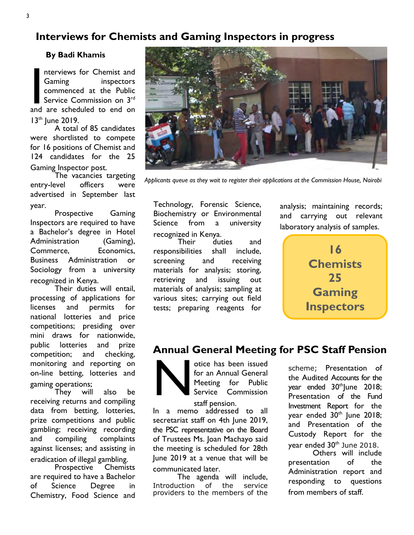# Interviews for Chemists and Gaming Inspectors in progress

By Badi Khamis

nterviews for Chemist and<br>Gaming inspectors<br>commenced at the Public<br>Service Commission on 3<sup>rd</sup><br>and are scheduled to end on nterviews for Chemist and Gaming inspectors commenced at the Public Service Commission on 3rd  $13<sup>th</sup>$  June 2019.

A total of 85 candidates were shortlisted to compete for 16 positions of Chemist and 124 candidates for the 25 Gaming Inspector post.

The vacancies targeting entry-level officers were advertised in September last year.

Prospective Gaming Inspectors are required to have a Bachelor's degree in Hotel Administration (Gaming), Commerce, Economics, Business Administration or Sociology from a university recognized in Kenya.

Their duties will entail, processing of applications for licenses and permits for national lotteries and price competitions; presiding over mini draws for nationwide, public lotteries and prize competition; and checking, monitoring and reporting on on-line betting, lotteries and gaming operations;

They will also be receiving returns and compiling data from betting, lotteries, prize competitions and public gambling; receiving recording and compiling complaints against licenses; and assisting in eradication of illegal gambling.

Prospective are required to have a Bachelor of Science Degree in Chemistry, Food Science and



Applicants queue as they wait to register their applications at the Commission House, Nairobi

Technology, Forensic Science, Biochemistry or Environmental Science from a university recognized in Kenya.

Their duties and responsibilities shall include, screening and receiving materials for analysis; storing, retrieving and issuing out materials of analysis; sampling at various sites; carrying out field tests; preparing reagents for

analysis; maintaining records; and carrying out relevant laboratory analysis of samples.



## Annual General Meeting for PSC Staff Pension

N otice has been issued for an Annual General Meeting for Public Service Commission

staff pension.

In a memo addressed to all secretariat staff on 4th June 2019, the PSC representative on the Board of Trustees Ms. Joan Machayo said the meeting is scheduled for 28th June 2019 at a venue that will be communicated later.

The agenda will include, Introduction of the service providers to the members of the scheme; Presentation of the Audited Accounts for the year ended 30<sup>th</sup>June 2018; Presentation of the Fund Investment Report for the year ended 30<sup>th</sup> June 2018; and Presentation of the Custody Report for the year ended 30<sup>th</sup> June 2018. Others will include

presentation of the Administration report and responding to questions from members of staff.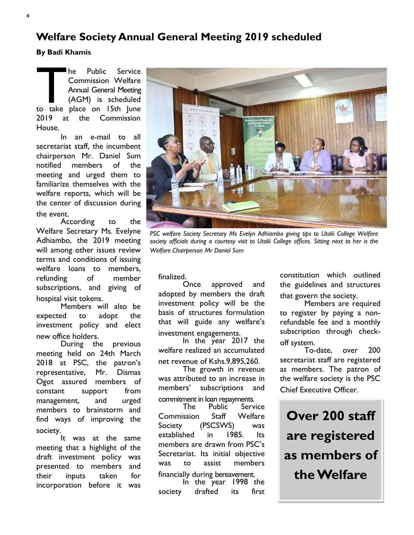# Welfare Society Annual General Meeting 2019 scheduled

By Badi Khamis

The Public Service<br>
Commission Welfare<br>
Annual General Meeting<br>
(AGM) is scheduled<br>
to take place on 15th June he Public Service Commission Welfare Annual General Meeting (AGM) is scheduled 2019 at the Commission House.

In an e-mail to all secretariat staff, the incumbent chairperson Mr. Daniel Sum notified members of the meeting and urged them to familiarize themselves with the welfare reports, which will be the center of discussion during the event.

According to the Welfare Secretary Ms. Evelyne Adhiambo, the 2019 meeting will among other issues review terms and conditions of issuing welfare loans to members, refunding of member subscriptions, and giving of hospital visit tokens.

Members will also be expected to adopt the investment policy and elect new office holders.

During the previous meeting held on 24th March 2018 at PSC, the patron's representative, Mr. Dismas Ogot assured members of constant support from management, and urged members to brainstorm and find ways of improving the society.

It was at the same meeting that a highlight of the draft investment policy was presented to members and their inputs taken for incorporation before it was



PSC welfare Society Secretary Ms Evelyn Adhiambo giving tips to Utalii College Welfare society officials during a courtesy visit to Utalii College offices. Sitting next to her is the Welfare Chairperson Mr Daniel Sum

finalized.<br>Once approved and adopted by members the draft investment policy will be the basis of structures formulation that will guide any welfare's investment engagements.

In the year 2017 the welfare realized an accumulated net revenue of Kshs.9,895,260.

The growth in revenue was attributed to an increase in members' subscriptions and

commitment in loan repayments.<br>The Public Serv **Service** Commission Staff Welfare Society (PSCSWS) was established in 1985. Its members are drawn from PSC's Secretariat. Its initial objective was to assist members financially during bereavement.

In the year 1998 the society drafted its first

constitution which outlined the guidelines and structures that govern the society.

Members are required to register by paying a nonrefundable fee and a monthly subscription through checkoff system.

To-date, over 200 secretariat staff are registered as members. The patron of the welfare society is the PSC Chief Executive Officer.

Over 200 staff are registered as members of the Welfare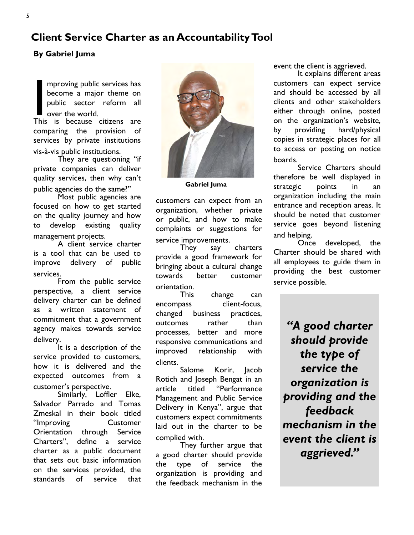# Client Service Charter as an Accountability Tool

## By Gabriel Juma

mproving public services has<br>become a major theme on<br>public sector reform all<br>over the world.<br>This is because citizens are mproving public services has become a major theme on public sector reform all over the world.

comparing the provision of services by private institutions vis-à-vis public institutions.

They are questioning "if private companies can deliver quality services, then why can't public agencies do the same?"

Most public agencies are focused on how to get started on the quality journey and how to develop existing quality management projects.

A client service charter is a tool that can be used to improve delivery of public services.

From the public service perspective, a client service delivery charter can be defined as a written statement of commitment that a government agency makes towards service delivery.

It is a description of the service provided to customers, how it is delivered and the expected outcomes from a customer's perspective.

Similarly, Loffler Elke, Salvador Parrado and Tomas Zmeskal in their book titled "Improving Customer Orientation through Service Charters", define a service charter as a public document that sets out basic information on the services provided, the standards of service that



Gabriel Juma

customers can expect from an organization, whether private or public, and how to make complaints or suggestions for service improvements.

They say charters provide a good framework for bringing about a cultural change towards better customer orientation.

This change can encompass client-focus, changed business practices, outcomes rather than processes, better and more responsive communications and improved relationship with clients.

Salome Korir, Jacob Rotich and Joseph Bengat in an article titled "Performance Management and Public Service Delivery in Kenya", argue that customers expect commitments laid out in the charter to be complied with.

They further argue that a good charter should provide the type of service the organization is providing and the feedback mechanism in the

event the client is aggrieved.

It explains different areas customers can expect service and should be accessed by all clients and other stakeholders either through online, posted on the organization's website, by providing hard/physical copies in strategic places for all to access or posting on notice boards.

Service Charters should therefore be well displayed in strategic points in an organization including the main entrance and reception areas. It should be noted that customer service goes beyond listening and helping.

Once developed, the Charter should be shared with all employees to guide them in providing the best customer service possible.

"A good charter should provide the type of service the organization is providing and the feedback mechanism in the event the client is aggrieved."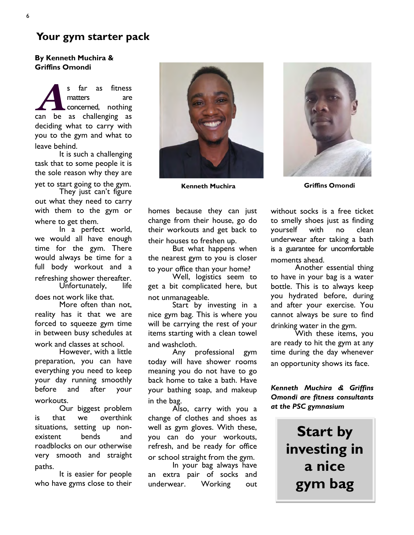## Your gym starter pack

## By Kenneth Muchira & Griffins Omondi

s far as fitness<br>matters are<br>concerned, nothing<br>can be as challenging as s far as fitness matters are concerned, nothing deciding what to carry with you to the gym and what to leave behind.

It is such a challenging task that to some people it is the sole reason why they are yet to start going to the gym.

They just can't figure out what they need to carry with them to the gym or where to get them.

In a perfect world, we would all have enough time for the gym. There would always be time for a full body workout and a refreshing shower thereafter.<br>Unfortunately. life Unfortunately,

does not work like that.

More often than not, reality has it that we are forced to squeeze gym time in between busy schedules at work and classes at school.

However, with a little preparation, you can have everything you need to keep your day running smoothly before and after your workouts.

Our biggest problem is that we overthink situations, setting up nonexistent bends and roadblocks on our otherwise very smooth and straight paths.

It is easier for people who have gyms close to their



Kenneth Muchira **Griffins** Omondi

homes because they can just change from their house, go do their workouts and get back to their houses to freshen up.

But what happens when the nearest gym to you is closer to your office than your home?

Well, logistics seem to get a bit complicated here, but not unmanageable.

Start by investing in a nice gym bag. This is where you will be carrying the rest of your items starting with a clean towel and washcloth.

Any professional gym today will have shower rooms meaning you do not have to go back home to take a bath. Have your bathing soap, and makeup in the bag.

Also, carry with you a change of clothes and shoes as well as gym gloves. With these, you can do your workouts, refresh, and be ready for office or school straight from the gym.

In your bag always have an extra pair of socks and underwear. Working out

without socks is a free ticket to smelly shoes just as finding yourself with no clean underwear after taking a bath is a guarantee for uncomfortable moments ahead.

Another essential thing to have in your bag is a water bottle. This is to always keep you hydrated before, during and after your exercise. You cannot always be sure to find drinking water in the gym.

With these items, you are ready to hit the gym at any time during the day whenever an opportunity shows its face.

Kenneth Muchira & Griffins Omondi are fitness consultants at the PSC gymnasium

> Start by investing in a nice gym bag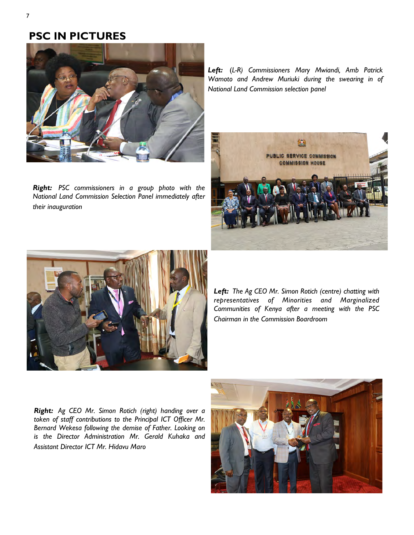# PSC IN PICTURES



Right: PSC commissioners in a group photo with the National Land Commission Selection Panel immediately after their inauguration

Left: (L-R) Commissioners Mary Mwiandi, Amb Patrick Wamoto and Andrew Muriuki during the swearing in of National Land Commission selection panel





Left: The Ag CEO Mr. Simon Rotich (centre) chatting with representatives of Minorities and Marginalized Communities of Kenya after a meeting with the PSC Chairman in the Commission Boardroom

Right: Ag CEO Mr. Simon Rotich (right) handing over a token of staff contributions to the Principal ICT Officer Mr. Bernard Wekesa following the demise of Father. Looking on is the Director Administration Mr. Gerald Kuhaka and Assistant Director ICT Mr. Hidavu Maro